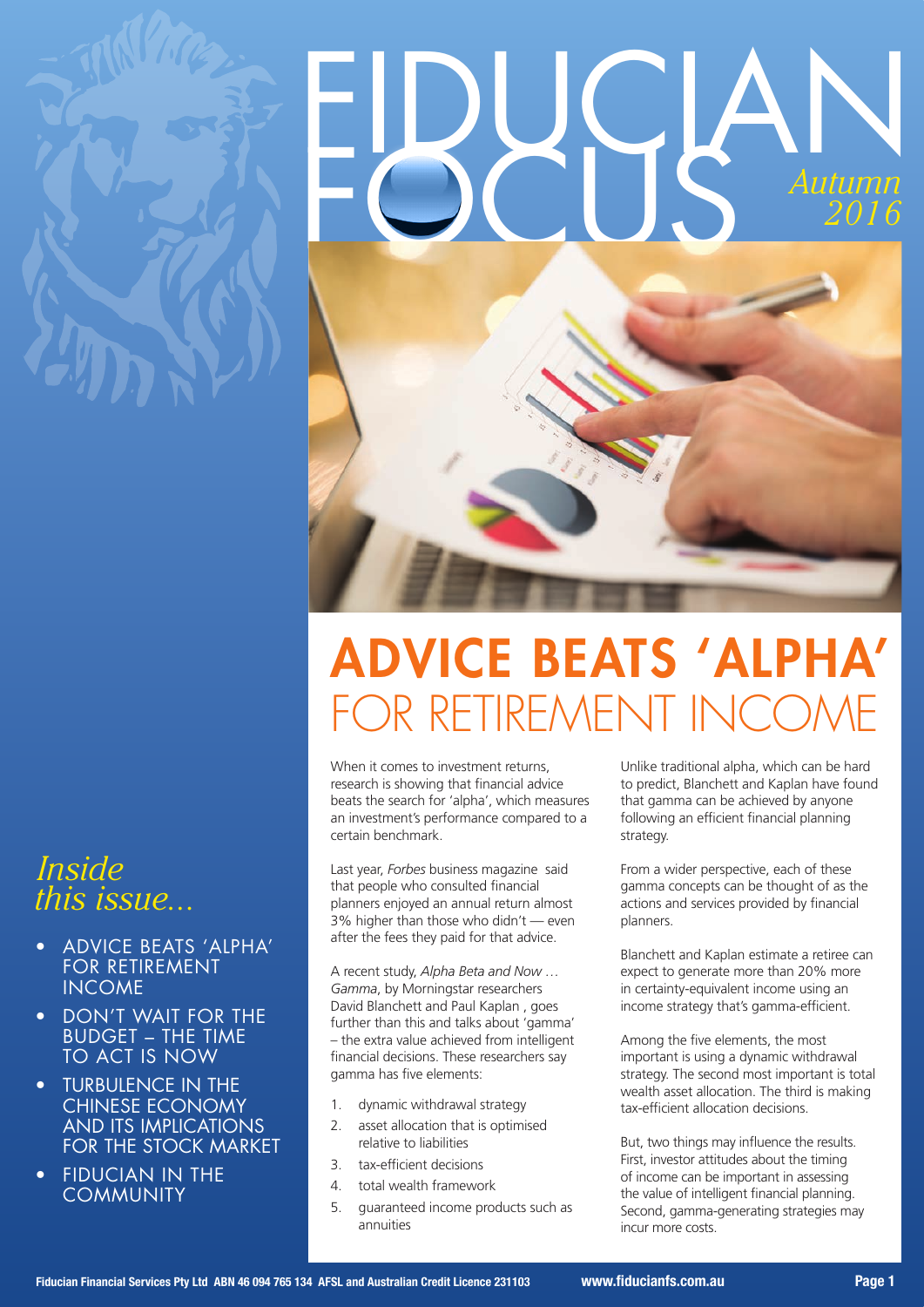

# EDUGBAN *Autumn 2016*



# ADVICE BEATS 'ALPHA' FOR RETIREMENT IN

When it comes to investment returns, research is showing that financial advice beats the search for 'alpha', which measures an investment's performance compared to a certain benchmark.

Last year, *Forbes* business magazine said that people who consulted financial planners enjoyed an annual return almost 3% higher than those who didn't — even after the fees they paid for that advice.

A recent study, *Alpha Beta and Now … Gamma*, by Morningstar researchers David Blanchett and Paul Kaplan , goes further than this and talks about 'gamma' – the extra value achieved from intelligent financial decisions. These researchers say gamma has five elements:

- 1. dynamic withdrawal strategy
- 2. asset allocation that is optimised relative to liabilities
- 3. tax-efficient decisions
- 4. total wealth framework
- 5. guaranteed income products such as annuities

Unlike traditional alpha, which can be hard to predict, Blanchett and Kaplan have found that gamma can be achieved by anyone following an efficient financial planning strategy.

From a wider perspective, each of these gamma concepts can be thought of as the actions and services provided by financial planners.

Blanchett and Kaplan estimate a retiree can expect to generate more than 20% more in certainty-equivalent income using an income strategy that's gamma-efficient.

Among the five elements, the most important is using a dynamic withdrawal strategy. The second most important is total wealth asset allocation. The third is making tax-efficient allocation decisions.

But, two things may influence the results. First, investor attitudes about the timing of income can be important in assessing the value of intelligent financial planning. Second, gamma-generating strategies may incur more costs.

# *Inside this issue...*

- ADVICE BEATS 'ALPHA' FOR RETIREMENT INCOME
- **DON'T WAIT FOR THE** BUDGET – THE TIME TO ACT IS NOW
- **TURBULENCE IN THE** CHINESE ECONOMY AND ITS IMPLICATIONS FOR THE STOCK MARKET
- **FIDUCIAN IN THE COMMUNITY**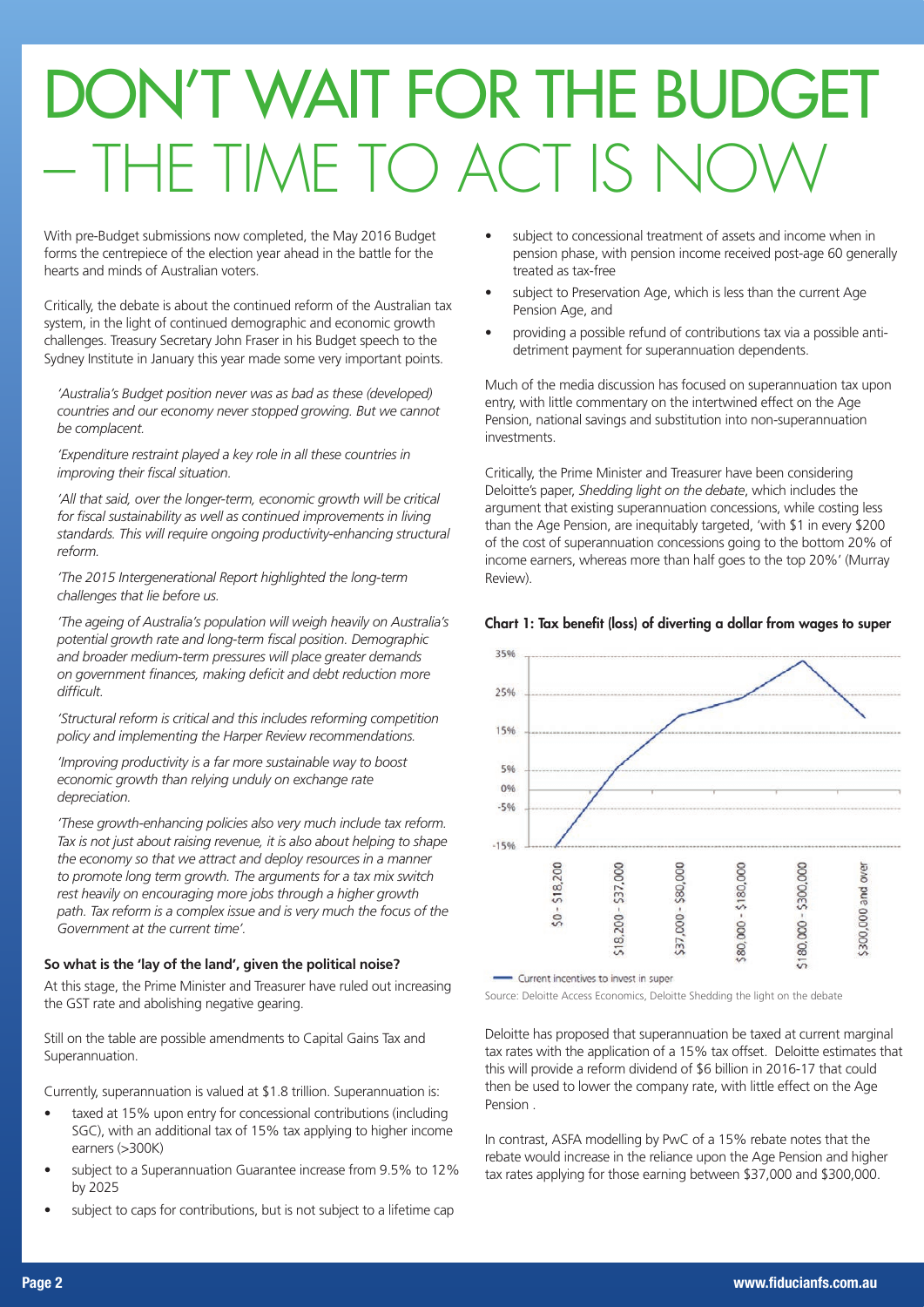# DON'T WAIT FOR THE BUDGET THE TIME TO ACT IS NO

With pre-Budget submissions now completed, the May 2016 Budget forms the centrepiece of the election year ahead in the battle for the hearts and minds of Australian voters.

Critically, the debate is about the continued reform of the Australian tax system, in the light of continued demographic and economic growth challenges. Treasury Secretary John Fraser in his Budget speech to the Sydney Institute in January this year made some very important points.

*'Australia's Budget position never was as bad as these (developed) countries and our economy never stopped growing. But we cannot be complacent.*

*'Expenditure restraint played a key role in all these countries in improving their fiscal situation.*

'All that said, over the longer-term, economic growth will be critical *for fiscal sustainability as well as continued improvements in living standards. This will require ongoing productivity-enhancing structural reform.*

*'The 2015 Intergenerational Report highlighted the long-term challenges that lie before us.*

*'The ageing of Australia's population will weigh heavily on Australia's potential growth rate and long-term fiscal position. Demographic and broader medium-term pressures will place greater demands on government finances, making deficit and debt reduction more difficult.*

*'Structural reform is critical and this includes reforming competition policy and implementing the Harper Review recommendations.*

*'Improving productivity is a far more sustainable way to boost economic growth than relying unduly on exchange rate depreciation.*

*'These growth-enhancing policies also very much include tax reform. Tax is not just about raising revenue, it is also about helping to shape the economy so that we attract and deploy resources in a manner to promote long term growth. The arguments for a tax mix switch rest heavily on encouraging more jobs through a higher growth path. Tax reform is a complex issue and is very much the focus of the Government at the current time'.* 

### **So what is the 'lay of the land', given the political noise?**

At this stage, the Prime Minister and Treasurer have ruled out increasing the GST rate and abolishing negative gearing.

Still on the table are possible amendments to Capital Gains Tax and Superannuation.

Currently, superannuation is valued at \$1.8 trillion. Superannuation is:

- taxed at 15% upon entry for concessional contributions (including SGC), with an additional tax of 15% tax applying to higher income earners (>300K)
- subject to a Superannuation Guarantee increase from 9.5% to 12% by 2025
- subject to caps for contributions, but is not subject to a lifetime cap
- subject to concessional treatment of assets and income when in pension phase, with pension income received post-age 60 generally treated as tax-free
- subject to Preservation Age, which is less than the current Age Pension Age, and
- providing a possible refund of contributions tax via a possible antidetriment payment for superannuation dependents.

Much of the media discussion has focused on superannuation tax upon entry, with little commentary on the intertwined effect on the Age Pension, national savings and substitution into non-superannuation investments.

Critically, the Prime Minister and Treasurer have been considering Deloitte's paper, *Shedding light on the debate*, which includes the argument that existing superannuation concessions, while costing less than the Age Pension, are inequitably targeted, 'with \$1 in every \$200 of the cost of superannuation concessions going to the bottom 20% of income earners, whereas more than half goes to the top 20%' (Murray Review).



### Chart 1: Tax benefit (loss) of diverting a dollar from wages to super

- Current incentives to invest in super

Source: Deloitte Access Economics, Deloitte Shedding the light on the debate

Deloitte has proposed that superannuation be taxed at current marginal tax rates with the application of a 15% tax offset. Deloitte estimates that this will provide a reform dividend of \$6 billion in 2016-17 that could then be used to lower the company rate, with little effect on the Age Pension .

In contrast, ASFA modelling by PwC of a 15% rebate notes that the rebate would increase in the reliance upon the Age Pension and higher tax rates applying for those earning between \$37,000 and \$300,000.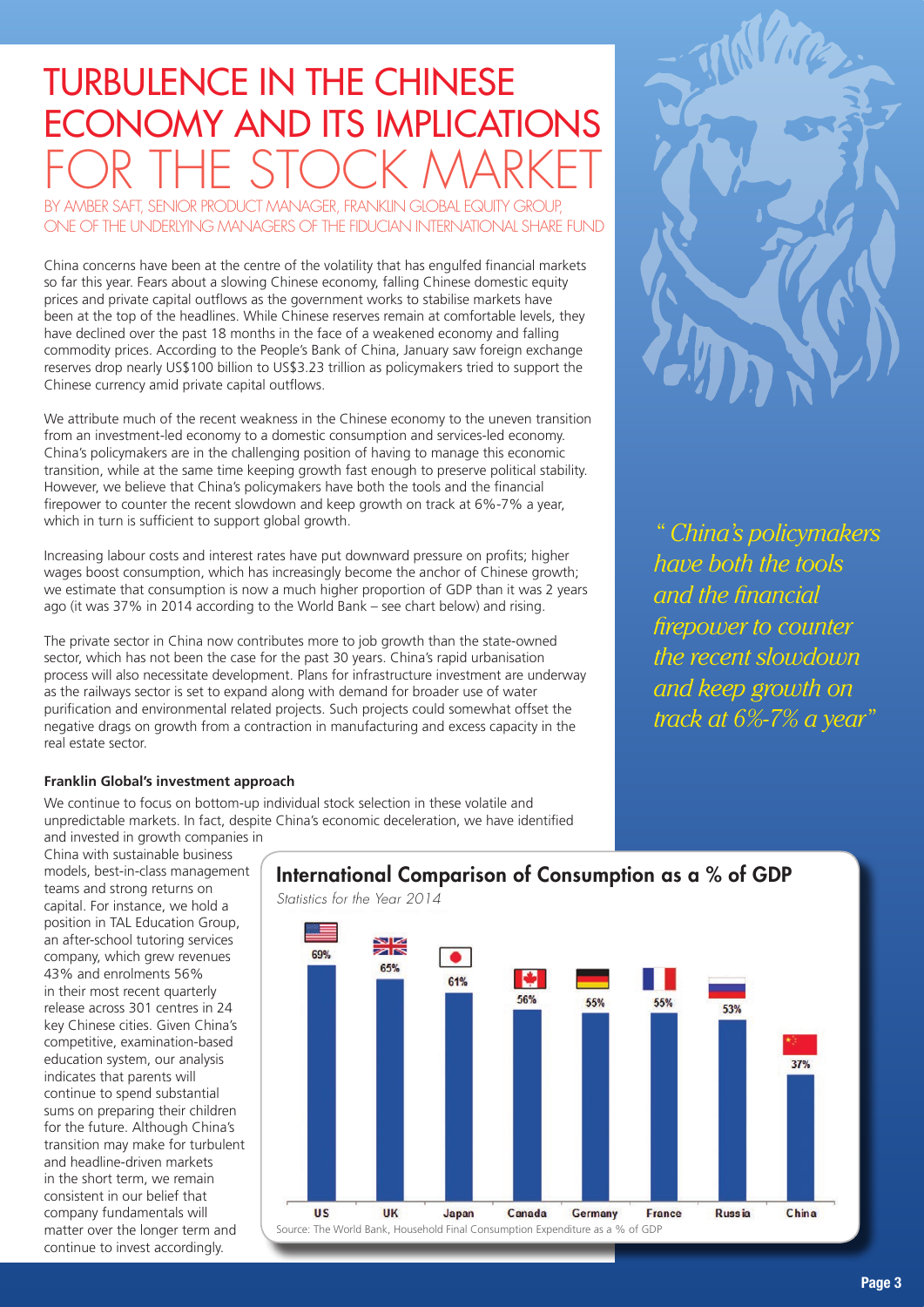# TURBULENCE IN THE CHINESE ECONOMY AND ITS IMPLICATIONS FOR THE STOCK MARKET

BY AMBER SAFT, SENIOR PRODUCT MANAGER, FRANKLIN GLOBAL EQUITY GROUP ONE OF THE UNDERLYING MANAGERS OF THE FIDUCIAN INTERNATIONAL SHARE FUND

China concerns have been at the centre of the volatility that has engulfed financial markets so far this year. Fears about a slowing Chinese economy, falling Chinese domestic equity prices and private capital outflows as the government works to stabilise markets have been at the top of the headlines. While Chinese reserves remain at comfortable levels, they have declined over the past 18 months in the face of a weakened economy and falling commodity prices. According to the People's Bank of China, January saw foreign exchange reserves drop nearly US\$100 billion to US\$3.23 trillion as policymakers tried to support the Chinese currency amid private capital outflows.

We attribute much of the recent weakness in the Chinese economy to the uneven transition from an investment-led economy to a domestic consumption and services-led economy. China's policymakers are in the challenging position of having to manage this economic transition, while at the same time keeping growth fast enough to preserve political stability. However, we believe that China's policymakers have both the tools and the financial firepower to counter the recent slowdown and keep growth on track at 6%-7% a year, which in turn is sufficient to support global growth.

Increasing labour costs and interest rates have put downward pressure on profits; higher wages boost consumption, which has increasingly become the anchor of Chinese growth; we estimate that consumption is now a much higher proportion of GDP than it was 2 years ago (it was 37% in 2014 according to the World Bank – see chart below) and rising.

The private sector in China now contributes more to job growth than the state-owned sector, which has not been the case for the past 30 years. China's rapid urbanisation process will also necessitate development. Plans for infrastructure investment are underway as the railways sector is set to expand along with demand for broader use of water purification and environmental related projects. Such projects could somewhat offset the negative drags on growth from a contraction in manufacturing and excess capacity in the real estate sector.

### **Franklin Global's investment approach**

We continue to focus on bottom-up individual stock selection in these volatile and unpredictable markets. In fact, despite China's economic deceleration, we have identified and invested in growth companies in

China with sustainable business models, best-in-class management teams and strong returns on capital. For instance, we hold a position in TAL Education Group, an after-school tutoring services company, which grew revenues 43% and enrolments 56% in their most recent quarterly release across 301 centres in 24 key Chinese cities. Given China's competitive, examination-based education system, our analysis indicates that parents will continue to spend substantial sums on preparing their children for the future. Although China's transition may make for turbulent and headline-driven markets in the short term, we remain consistent in our belief that company fundamentals will matter over the longer term and continue to invest accordingly.

### International Comparison of Consumption as a % of GDP





*" China's policymakers have both the tools and the financial firepower to counter the recent slowdown and keep growth on track at 6%-7% a year"*